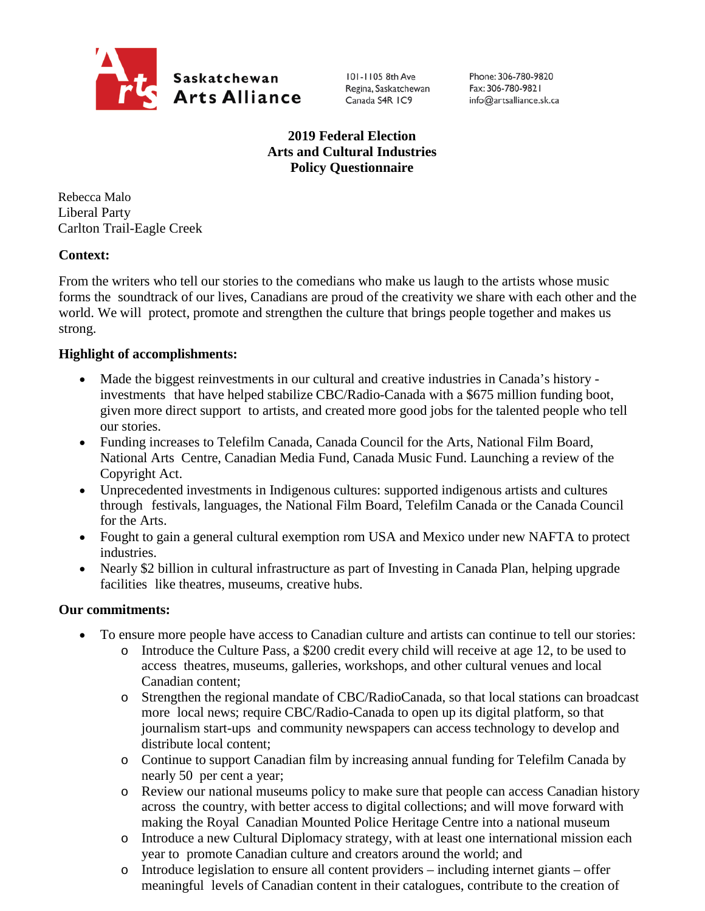

101-1105 8th Ave Regina, Saskatchewan Canada S4R IC9

Phone: 306-780-9820 Fax: 306-780-9821 info@artsalliance.sk.ca

# **2019 Federal Election Arts and Cultural Industries Policy Questionnaire**

Rebecca Malo Liberal Party Carlton Trail-Eagle Creek

## **Context:**

From the writers who tell our stories to the comedians who make us laugh to the artists whose music forms the soundtrack of our lives, Canadians are proud of the creativity we share with each other and the world. We will protect, promote and strengthen the culture that brings people together and makes us strong.

## **Highlight of accomplishments:**

- Made the biggest reinvestments in our cultural and creative industries in Canada's history investments that have helped stabilize CBC/Radio-Canada with a \$675 million funding boot, given more direct support to artists, and created more good jobs for the talented people who tell our stories.
- Funding increases to Telefilm Canada, Canada Council for the Arts, National Film Board, National Arts Centre, Canadian Media Fund, Canada Music Fund. Launching a review of the Copyright Act.
- Unprecedented investments in Indigenous cultures: supported indigenous artists and cultures through festivals, languages, the National Film Board, Telefilm Canada or the Canada Council for the Arts.
- Fought to gain a general cultural exemption rom USA and Mexico under new NAFTA to protect industries.
- Nearly \$2 billion in cultural infrastructure as part of Investing in Canada Plan, helping upgrade facilities like theatres, museums, creative hubs.

## **Our commitments:**

- To ensure more people have access to Canadian culture and artists can continue to tell our stories:
	- o Introduce the Culture Pass, a \$200 credit every child will receive at age 12, to be used to access theatres, museums, galleries, workshops, and other cultural venues and local Canadian content;
	- o Strengthen the regional mandate of CBC/RadioCanada, so that local stations can broadcast more local news; require CBC/Radio-Canada to open up its digital platform, so that journalism start-ups and community newspapers can access technology to develop and distribute local content;
	- o Continue to support Canadian film by increasing annual funding for Telefilm Canada by nearly 50 per cent a year;
	- o Review our national museums policy to make sure that people can access Canadian history across the country, with better access to digital collections; and will move forward with making the Royal Canadian Mounted Police Heritage Centre into a national museum
	- o Introduce a new Cultural Diplomacy strategy, with at least one international mission each year to promote Canadian culture and creators around the world; and
	- $\circ$  Introduce legislation to ensure all content providers including internet giants offer meaningful levels of Canadian content in their catalogues, contribute to the creation of